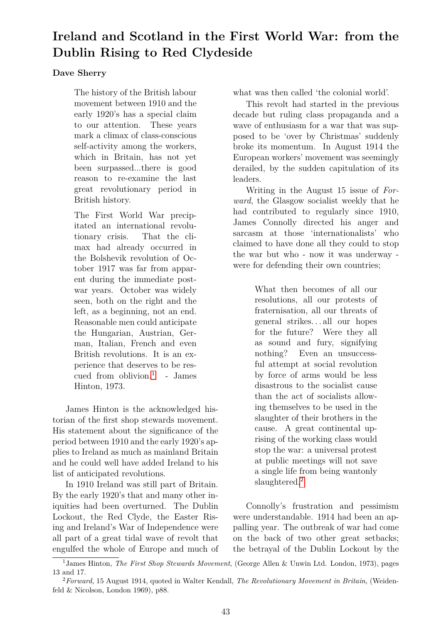# **Ireland and Scotland in the First World War: from the Dublin Rising to Red Clydeside**

#### **Dave Sherry**

The history of the British labour movement between 1910 and the early 1920's has a special claim to our attention. These years mark a climax of class-conscious self-activity among the workers, which in Britain, has not yet been surpassed...there is good reason to re-examine the last great revolutionary period in British history.

The First World War precipitated an international revolutionary crisis. That the climax had already occurred in the Bolshevik revolution of October 1917 was far from apparent during the immediate postwar years. October was widely seen, both on the right and the left, as a beginning, not an end. Reasonable men could anticipate the Hungarian, Austrian, German, Italian, French and even British revolutions. It is an experience that deserves to be rescued from oblivion.[1](#page-0-0) - James Hinton, 1973.

James Hinton is the acknowledged historian of the first shop stewards movement. His statement about the significance of the period between 1910 and the early 1920's applies to Ireland as much as mainland Britain and he could well have added Ireland to his list of anticipated revolutions.

In 1910 Ireland was still part of Britain. By the early 1920's that and many other iniquities had been overturned. The Dublin Lockout, the Red Clyde, the Easter Rising and Ireland's War of Independence were all part of a great tidal wave of revolt that engulfed the whole of Europe and much of what was then called 'the colonial world'.

This revolt had started in the previous decade but ruling class propaganda and a wave of enthusiasm for a war that was supposed to be 'over by Christmas' suddenly broke its momentum. In August 1914 the European workers' movement was seemingly derailed, by the sudden capitulation of its leaders.

Writing in the August 15 issue of *Forward*, the Glasgow socialist weekly that he had contributed to regularly since 1910, James Connolly directed his anger and sarcasm at those 'internationalists' who claimed to have done all they could to stop the war but who - now it was underway were for defending their own countries;

> What then becomes of all our resolutions, all our protests of fraternisation, all our threats of general strikes. . . all our hopes for the future? Were they all as sound and fury, signifying nothing? Even an unsuccessful attempt at social revolution by force of arms would be less disastrous to the socialist cause than the act of socialists allowing themselves to be used in the slaughter of their brothers in the cause. A great continental uprising of the working class would stop the war: a universal protest at public meetings will not save a single life from being wantonly slaughtered.<sup>[2](#page-0-1)</sup>

Connolly's frustration and pessimism were understandable. 1914 had been an appalling year. The outbreak of war had come on the back of two other great setbacks; the betrayal of the Dublin Lockout by the

<span id="page-0-0"></span><sup>1</sup>James Hinton, *The First Shop Stewards Movement*, (George Allen & Unwin Ltd. London, 1973), pages 13 and 17.

<span id="page-0-1"></span><sup>2</sup>*Forward*, 15 August 1914, quoted in Walter Kendall, *The Revolutionary Movement in Britain*, (Weidenfeld & Nicolson, London 1969), p88.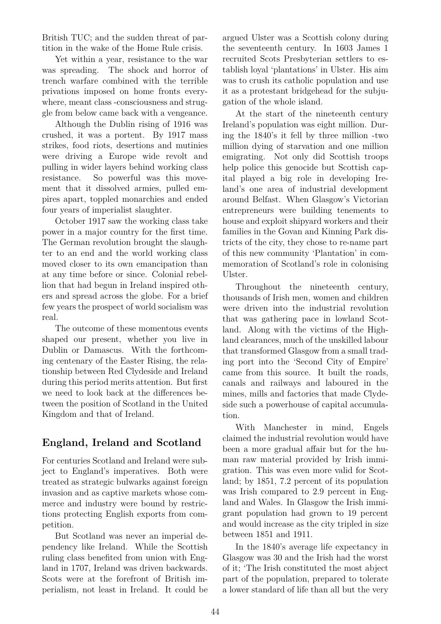British TUC; and the sudden threat of partition in the wake of the Home Rule crisis.

Yet within a year, resistance to the war was spreading. The shock and horror of trench warfare combined with the terrible privations imposed on home fronts everywhere, meant class -consciousness and struggle from below came back with a vengeance.

Although the Dublin rising of 1916 was crushed, it was a portent. By 1917 mass strikes, food riots, desertions and mutinies were driving a Europe wide revolt and pulling in wider layers behind working class resistance. So powerful was this movement that it dissolved armies, pulled empires apart, toppled monarchies and ended four years of imperialist slaughter.

October 1917 saw the working class take power in a major country for the first time. The German revolution brought the slaughter to an end and the world working class moved closer to its own emancipation than at any time before or since. Colonial rebellion that had begun in Ireland inspired others and spread across the globe. For a brief few years the prospect of world socialism was real.

The outcome of these momentous events shaped our present, whether you live in Dublin or Damascus. With the forthcoming centenary of the Easter Rising, the relationship between Red Clydeside and Ireland during this period merits attention. But first we need to look back at the differences between the position of Scotland in the United Kingdom and that of Ireland.

### **England, Ireland and Scotland**

For centuries Scotland and Ireland were subject to England's imperatives. Both were treated as strategic bulwarks against foreign invasion and as captive markets whose commerce and industry were bound by restrictions protecting English exports from competition.

But Scotland was never an imperial dependency like Ireland. While the Scottish ruling class benefited from union with England in 1707, Ireland was driven backwards. Scots were at the forefront of British imperialism, not least in Ireland. It could be argued Ulster was a Scottish colony during the seventeenth century. In 1603 James 1 recruited Scots Presbyterian settlers to establish loyal 'plantations' in Ulster. His aim was to crush its catholic population and use it as a protestant bridgehead for the subjugation of the whole island.

At the start of the nineteenth century Ireland's population was eight million. During the 1840's it fell by three million -two million dying of starvation and one million emigrating. Not only did Scottish troops help police this genocide but Scottish capital played a big role in developing Ireland's one area of industrial development around Belfast. When Glasgow's Victorian entrepreneurs were building tenements to house and exploit shipyard workers and their families in the Govan and Kinning Park districts of the city, they chose to re-name part of this new community 'Plantation' in commemoration of Scotland's role in colonising Ulster.

Throughout the nineteenth century, thousands of Irish men, women and children were driven into the industrial revolution that was gathering pace in lowland Scotland. Along with the victims of the Highland clearances, much of the unskilled labour that transformed Glasgow from a small trading port into the 'Second City of Empire' came from this source. It built the roads, canals and railways and laboured in the mines, mills and factories that made Clydeside such a powerhouse of capital accumulation.

With Manchester in mind, Engels claimed the industrial revolution would have been a more gradual affair but for the human raw material provided by Irish immigration. This was even more valid for Scotland; by 1851, 7.2 percent of its population was Irish compared to 2.9 percent in England and Wales. In Glasgow the Irish immigrant population had grown to 19 percent and would increase as the city tripled in size between 1851 and 1911.

In the 1840's average life expectancy in Glasgow was 30 and the Irish had the worst of it; 'The Irish constituted the most abject part of the population, prepared to tolerate a lower standard of life than all but the very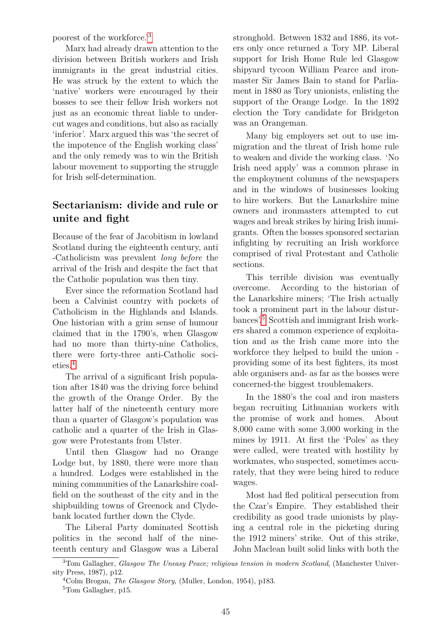poorest of the workforce.'[3](#page-2-0)

Marx had already drawn attention to the division between British workers and Irish immigrants in the great industrial cities. He was struck by the extent to which the 'native' workers were encouraged by their bosses to see their fellow Irish workers not just as an economic threat liable to undercut wages and conditions, but also as racially 'inferior'. Marx argued this was 'the secret of the impotence of the English working class' and the only remedy was to win the British labour movement to supporting the struggle for Irish self-determination.

## **Sectarianism: divide and rule or unite and fight**

Because of the fear of Jacobitism in lowland Scotland during the eighteenth century, anti -Catholicism was prevalent *long before* the arrival of the Irish and despite the fact that the Catholic population was then tiny.

Ever since the reformation Scotland had been a Calvinist country with pockets of Catholicism in the Highlands and Islands. One historian with a grim sense of humour claimed that in the 1790's, when Glasgow had no more than thirty-nine Catholics, there were forty-three anti-Catholic societies.[4](#page-2-1)

The arrival of a significant Irish population after 1840 was the driving force behind the growth of the Orange Order. By the latter half of the nineteenth century more than a quarter of Glasgow's population was catholic and a quarter of the Irish in Glasgow were Protestants from Ulster.

Until then Glasgow had no Orange Lodge but, by 1880, there were more than a hundred. Lodges were established in the mining communities of the Lanarkshire coalfield on the southeast of the city and in the shipbuilding towns of Greenock and Clydebank located further down the Clyde.

The Liberal Party dominated Scottish politics in the second half of the nineteenth century and Glasgow was a Liberal

stronghold. Between 1832 and 1886, its voters only once returned a Tory MP. Liberal support for Irish Home Rule led Glasgow shipyard tycoon William Pearce and ironmaster Sir James Bain to stand for Parliament in 1880 as Tory unionists, enlisting the support of the Orange Lodge. In the 1892 election the Tory candidate for Bridgeton was an Orangeman.

Many big employers set out to use immigration and the threat of Irish home rule to weaken and divide the working class. 'No Irish need apply' was a common phrase in the employment columns of the newspapers and in the windows of businesses looking to hire workers. But the Lanarkshire mine owners and ironmasters attempted to cut wages and break strikes by hiring Irish immigrants. Often the bosses sponsored sectarian infighting by recruiting an Irish workforce comprised of rival Protestant and Catholic sections.

This terrible division was eventually overcome. According to the historian of the Lanarkshire miners; 'The Irish actually took a prominent part in the labour disturbances'.[5](#page-2-2) Scottish and immigrant Irish workers shared a common experience of exploitation and as the Irish came more into the workforce they helped to build the union providing some of its best fighters, its most able organisers and- as far as the bosses were concerned-the biggest troublemakers.

In the 1880's the coal and iron masters began recruiting Lithuanian workers with the promise of work and homes. About 8,000 came with some 3,000 working in the mines by 1911. At first the 'Poles' as they were called, were treated with hostility by workmates, who suspected, sometimes accurately, that they were being hired to reduce wages.

Most had fled political persecution from the Czar's Empire. They established their credibility as good trade unionists by playing a central role in the picketing during the 1912 miners' strike. Out of this strike, John Maclean built solid links with both the

<span id="page-2-0"></span><sup>3</sup>Tom Gallagher, *Glasgow The Uneasy Peace; religious tension in modern Scotland*, (Manchester University Press, 1987), p12.

<span id="page-2-1"></span><sup>4</sup>Colm Brogan, *The Glasgow Story*, (Muller, London, 1954), p183.

<span id="page-2-2"></span><sup>5</sup>Tom Gallagher, p15.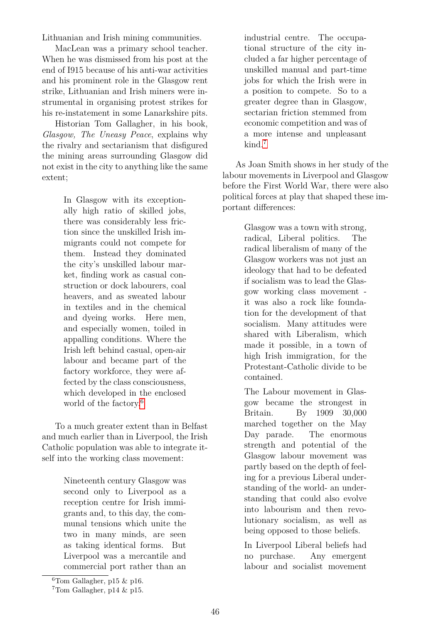Lithuanian and Irish mining communities.

MacLean was a primary school teacher. When he was dismissed from his post at the end of I915 because of his anti-war activities and his prominent role in the Glasgow rent strike, Lithuanian and Irish miners were instrumental in organising protest strikes for his re-instatement in some Lanarkshire pits.

Historian Tom Gallagher, in his book, *Glasgow, The Uneasy Peace*, explains why the rivalry and sectarianism that disfigured the mining areas surrounding Glasgow did not exist in the city to anything like the same extent;

> In Glasgow with its exceptionally high ratio of skilled jobs, there was considerably less friction since the unskilled Irish immigrants could not compete for them. Instead they dominated the city's unskilled labour market, finding work as casual construction or dock labourers, coal heavers, and as sweated labour in textiles and in the chemical and dyeing works. Here men, and especially women, toiled in appalling conditions. Where the Irish left behind casual, open-air labour and became part of the factory workforce, they were affected by the class consciousness, which developed in the enclosed world of the factory.<sup>[6](#page-3-0)</sup>

To a much greater extent than in Belfast and much earlier than in Liverpool, the Irish Catholic population was able to integrate itself into the working class movement:

> Nineteenth century Glasgow was second only to Liverpool as a reception centre for Irish immigrants and, to this day, the communal tensions which unite the two in many minds, are seen as taking identical forms. But Liverpool was a mercantile and commercial port rather than an

industrial centre. The occupational structure of the city included a far higher percentage of unskilled manual and part-time jobs for which the Irish were in a position to compete. So to a greater degree than in Glasgow, sectarian friction stemmed from economic competition and was of a more intense and unpleasant kind.[7](#page-3-1)

As Joan Smith shows in her study of the labour movements in Liverpool and Glasgow before the First World War, there were also political forces at play that shaped these important differences:

> Glasgow was a town with strong, radical, Liberal politics. The radical liberalism of many of the Glasgow workers was not just an ideology that had to be defeated if socialism was to lead the Glasgow working class movement it was also a rock like foundation for the development of that socialism. Many attitudes were shared with Liberalism, which made it possible, in a town of high Irish immigration, for the Protestant-Catholic divide to be contained.

> The Labour movement in Glasgow became the strongest in Britain. By 1909 30,000 marched together on the May Day parade. The enormous strength and potential of the Glasgow labour movement was partly based on the depth of feeling for a previous Liberal understanding of the world- an understanding that could also evolve into labourism and then revolutionary socialism, as well as being opposed to those beliefs.

In Liverpool Liberal beliefs had no purchase. Any emergent labour and socialist movement

<span id="page-3-0"></span> $6$ Tom Gallagher, p15 & p16.

<span id="page-3-1"></span> $7$ Tom Gallagher, p14 & p15.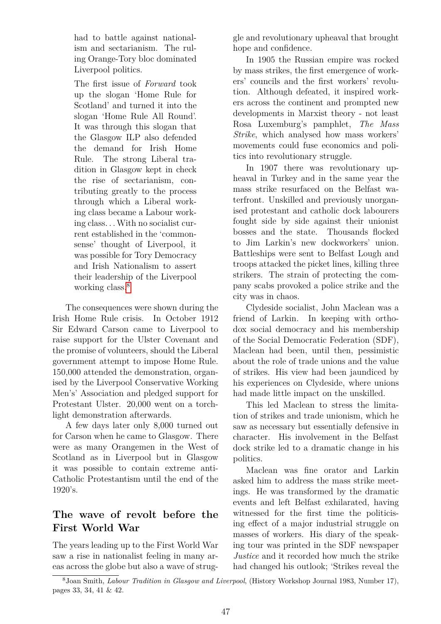had to battle against nationalism and sectarianism. The ruling Orange-Tory bloc dominated Liverpool politics.

The first issue of *Forward* took up the slogan 'Home Rule for Scotland' and turned it into the slogan 'Home Rule All Round'. It was through this slogan that the Glasgow ILP also defended the demand for Irish Home Rule. The strong Liberal tradition in Glasgow kept in check the rise of sectarianism, contributing greatly to the process through which a Liberal working class became a Labour working class. . .With no socialist current established in the 'commonsense' thought of Liverpool, it was possible for Tory Democracy and Irish Nationalism to assert their leadership of the Liverpool working class.<sup>[8](#page-4-0)</sup>

The consequences were shown during the Irish Home Rule crisis. In October 1912 Sir Edward Carson came to Liverpool to raise support for the Ulster Covenant and the promise of volunteers, should the Liberal government attempt to impose Home Rule. 150,000 attended the demonstration, organised by the Liverpool Conservative Working Men's' Association and pledged support for Protestant Ulster. 20,000 went on a torchlight demonstration afterwards.

A few days later only 8,000 turned out for Carson when he came to Glasgow. There were as many Orangemen in the West of Scotland as in Liverpool but in Glasgow it was possible to contain extreme anti-Catholic Protestantism until the end of the 1920's.

# **The wave of revolt before the First World War**

The years leading up to the First World War saw a rise in nationalist feeling in many areas across the globe but also a wave of struggle and revolutionary upheaval that brought hope and confidence.

In 1905 the Russian empire was rocked by mass strikes, the first emergence of workers' councils and the first workers' revolution. Although defeated, it inspired workers across the continent and prompted new developments in Marxist theory - not least Rosa Luxemburg's pamphlet, *The Mass Strike*, which analysed how mass workers' movements could fuse economics and politics into revolutionary struggle.

In 1907 there was revolutionary upheaval in Turkey and in the same year the mass strike resurfaced on the Belfast waterfront. Unskilled and previously unorganised protestant and catholic dock labourers fought side by side against their unionist bosses and the state. Thousands flocked to Jim Larkin's new dockworkers' union. Battleships were sent to Belfast Lough and troops attacked the picket lines, killing three strikers. The strain of protecting the company scabs provoked a police strike and the city was in chaos.

Clydeside socialist, John Maclean was a friend of Larkin. In keeping with orthodox social democracy and his membership of the Social Democratic Federation (SDF), Maclean had been, until then, pessimistic about the role of trade unions and the value of strikes. His view had been jaundiced by his experiences on Clydeside, where unions had made little impact on the unskilled.

This led Maclean to stress the limitation of strikes and trade unionism, which he saw as necessary but essentially defensive in character. His involvement in the Belfast dock strike led to a dramatic change in his politics.

Maclean was fine orator and Larkin asked him to address the mass strike meetings. He was transformed by the dramatic events and left Belfast exhilarated, having witnessed for the first time the politicising effect of a major industrial struggle on masses of workers. His diary of the speaking tour was printed in the SDF newspaper *Justice* and it recorded how much the strike had changed his outlook; 'Strikes reveal the

<span id="page-4-0"></span><sup>8</sup>Joan Smith, *Labour Tradition in Glasgow and Liverpool*, (History Workshop Journal 1983, Number 17), pages 33, 34, 41 & 42.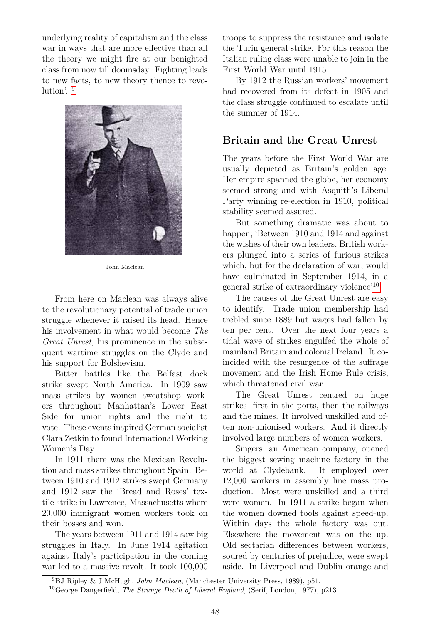underlying reality of capitalism and the class war in ways that are more effective than all the theory we might fire at our benighted class from now till doomsday. Fighting leads to new facts, to new theory thence to revolution'. [9](#page-5-0)



John Maclean

From here on Maclean was always alive to the revolutionary potential of trade union struggle whenever it raised its head. Hence his involvement in what would become *The Great Unrest*, his prominence in the subsequent wartime struggles on the Clyde and his support for Bolshevism.

Bitter battles like the Belfast dock strike swept North America. In 1909 saw mass strikes by women sweatshop workers throughout Manhattan's Lower East Side for union rights and the right to vote. These events inspired German socialist Clara Zetkin to found International Working Women's Day.

In 1911 there was the Mexican Revolution and mass strikes throughout Spain. Between 1910 and 1912 strikes swept Germany and 1912 saw the 'Bread and Roses' textile strike in Lawrence, Massachusetts where 20,000 immigrant women workers took on their bosses and won.

The years between 1911 and 1914 saw big struggles in Italy. In June 1914 agitation against Italy's participation in the coming war led to a massive revolt. It took 100,000

troops to suppress the resistance and isolate the Turin general strike. For this reason the Italian ruling class were unable to join in the First World War until 1915.

By 1912 the Russian workers' movement had recovered from its defeat in 1905 and the class struggle continued to escalate until the summer of 1914.

#### **Britain and the Great Unrest**

The years before the First World War are usually depicted as Britain's golden age. Her empire spanned the globe, her economy seemed strong and with Asquith's Liberal Party winning re-election in 1910, political stability seemed assured.

But something dramatic was about to happen; 'Between 1910 and 1914 and against the wishes of their own leaders, British workers plunged into a series of furious strikes which, but for the declaration of war, would have culminated in September 1914, in a general strike of extraordinary violence'[10](#page-5-1) .

The causes of the Great Unrest are easy to identify. Trade union membership had trebled since 1889 but wages had fallen by ten per cent. Over the next four years a tidal wave of strikes engulfed the whole of mainland Britain and colonial Ireland. It coincided with the resurgence of the suffrage movement and the Irish Home Rule crisis, which threatened civil war.

The Great Unrest centred on huge strikes- first in the ports, then the railways and the mines. It involved unskilled and often non-unionised workers. And it directly involved large numbers of women workers.

Singers, an American company, opened the biggest sewing machine factory in the world at Clydebank. It employed over 12,000 workers in assembly line mass production. Most were unskilled and a third were women. In 1911 a strike began when the women downed tools against speed-up. Within days the whole factory was out. Elsewhere the movement was on the up. Old sectarian differences between workers, soured by centuries of prejudice, were swept aside. In Liverpool and Dublin orange and

<span id="page-5-0"></span><sup>9</sup>BJ Ripley & J McHugh, *John Maclean*, (Manchester University Press, 1989), p51.

<span id="page-5-1"></span><sup>10</sup>George Dangerfield, *The Strange Death of Liberal England*, (Serif, London, 1977), p213.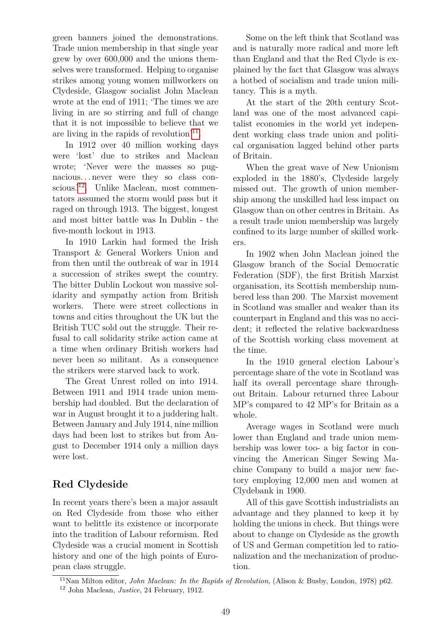green banners joined the demonstrations. Trade union membership in that single year grew by over 600,000 and the unions themselves were transformed. Helping to organise strikes among young women millworkers on Clydeside, Glasgow socialist John Maclean wrote at the end of 1911; 'The times we are living in are so stirring and full of change that it is not impossible to believe that we are living in the rapids of revolution<sup>'[11](#page-6-0)</sup>.

In 1912 over 40 million working days were 'lost' due to strikes and Maclean wrote; 'Never were the masses so pugnacious. . . never were they so class con-scious.<sup>'[12](#page-6-1)</sup>. Unlike Maclean, most commentators assumed the storm would pass but it raged on through 1913. The biggest, longest and most bitter battle was In Dublin - the five-month lockout in 1913.

In 1910 Larkin had formed the Irish Transport & General Workers Union and from then until the outbreak of war in 1914 a succession of strikes swept the country. The bitter Dublin Lockout won massive solidarity and sympathy action from British workers. There were street collections in towns and cities throughout the UK but the British TUC sold out the struggle. Their refusal to call solidarity strike action came at a time when ordinary British workers had never been so militant. As a consequence the strikers were starved back to work.

The Great Unrest rolled on into 1914. Between 1911 and 1914 trade union membership had doubled. But the declaration of war in August brought it to a juddering halt. Between January and July 1914, nine million days had been lost to strikes but from August to December 1914 only a million days were lost.

### **Red Clydeside**

In recent years there's been a major assault on Red Clydeside from those who either want to belittle its existence or incorporate into the tradition of Labour reformism. Red Clydeside was a crucial moment in Scottish history and one of the high points of European class struggle.

Some on the left think that Scotland was and is naturally more radical and more left than England and that the Red Clyde is explained by the fact that Glasgow was always a hotbed of socialism and trade union militancy. This is a myth.

At the start of the 20th century Scotland was one of the most advanced capitalist economies in the world yet independent working class trade union and political organisation lagged behind other parts of Britain.

When the great wave of New Unionism exploded in the 1880's, Clydeside largely missed out. The growth of union membership among the unskilled had less impact on Glasgow than on other centres in Britain. As a result trade union membership was largely confined to its large number of skilled workers.

In 1902 when John Maclean joined the Glasgow branch of the Social Democratic Federation (SDF), the first British Marxist organisation, its Scottish membership numbered less than 200. The Marxist movement in Scotland was smaller and weaker than its counterpart in England and this was no accident; it reflected the relative backwardness of the Scottish working class movement at the time.

In the 1910 general election Labour's percentage share of the vote in Scotland was half its overall percentage share throughout Britain. Labour returned three Labour MP's compared to 42 MP's for Britain as a whole.

Average wages in Scotland were much lower than England and trade union membership was lower too- a big factor in convincing the American Singer Sewing Machine Company to build a major new factory employing 12,000 men and women at Clydebank in 1900.

All of this gave Scottish industrialists an advantage and they planned to keep it by holding the unions in check. But things were about to change on Clydeside as the growth of US and German competition led to rationalization and the mechanization of production.

<span id="page-6-0"></span><sup>11</sup>Nan Milton editor, *John Maclean: In the Rapids of Revolution*, (Alison & Busby, London, 1978) p62.

<span id="page-6-1"></span><sup>12</sup> John Maclean, *Justice*, 24 February, 1912.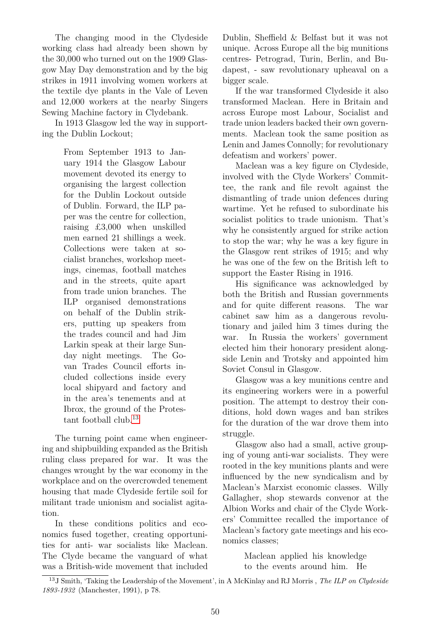The changing mood in the Clydeside working class had already been shown by the 30,000 who turned out on the 1909 Glasgow May Day demonstration and by the big strikes in 1911 involving women workers at the textile dye plants in the Vale of Leven and 12,000 workers at the nearby Singers Sewing Machine factory in Clydebank.

In 1913 Glasgow led the way in supporting the Dublin Lockout;

> From September 1913 to January 1914 the Glasgow Labour movement devoted its energy to organising the largest collection for the Dublin Lockout outside of Dublin. Forward, the ILP paper was the centre for collection, raising £3,000 when unskilled men earned 21 shillings a week. Collections were taken at socialist branches, workshop meetings, cinemas, football matches and in the streets, quite apart from trade union branches. The ILP organised demonstrations on behalf of the Dublin strikers, putting up speakers from the trades council and had Jim Larkin speak at their large Sunday night meetings. The Govan Trades Council efforts included collections inside every local shipyard and factory and in the area's tenements and at Ibrox, the ground of the Protestant football club.[13](#page-7-0)

The turning point came when engineering and shipbuilding expanded as the British ruling class prepared for war. It was the changes wrought by the war economy in the workplace and on the overcrowded tenement housing that made Clydeside fertile soil for militant trade unionism and socialist agitation.

In these conditions politics and economics fused together, creating opportunities for anti- war socialists like Maclean. The Clyde became the vanguard of what was a British-wide movement that included Dublin, Sheffield & Belfast but it was not unique. Across Europe all the big munitions centres- Petrograd, Turin, Berlin, and Budapest, - saw revolutionary upheaval on a bigger scale.

If the war transformed Clydeside it also transformed Maclean. Here in Britain and across Europe most Labour, Socialist and trade union leaders backed their own governments. Maclean took the same position as Lenin and James Connolly; for revolutionary defeatism and workers' power.

Maclean was a key figure on Clydeside, involved with the Clyde Workers' Committee, the rank and file revolt against the dismantling of trade union defences during wartime. Yet he refused to subordinate his socialist politics to trade unionism. That's why he consistently argued for strike action to stop the war; why he was a key figure in the Glasgow rent strikes of 1915; and why he was one of the few on the British left to support the Easter Rising in 1916.

His significance was acknowledged by both the British and Russian governments and for quite different reasons. The war cabinet saw him as a dangerous revolutionary and jailed him 3 times during the war. In Russia the workers' government elected him their honorary president alongside Lenin and Trotsky and appointed him Soviet Consul in Glasgow.

Glasgow was a key munitions centre and its engineering workers were in a powerful position. The attempt to destroy their conditions, hold down wages and ban strikes for the duration of the war drove them into struggle.

Glasgow also had a small, active grouping of young anti-war socialists. They were rooted in the key munitions plants and were influenced by the new syndicalism and by Maclean's Marxist economic classes. Willy Gallagher, shop stewards convenor at the Albion Works and chair of the Clyde Workers' Committee recalled the importance of Maclean's factory gate meetings and his economics classes;

> Maclean applied his knowledge to the events around him. He

<span id="page-7-0"></span><sup>13</sup>J Smith, 'Taking the Leadership of the Movement', in A McKinlay and RJ Morris , *The ILP on Clydeside 1893-1932* (Manchester, 1991), p 78.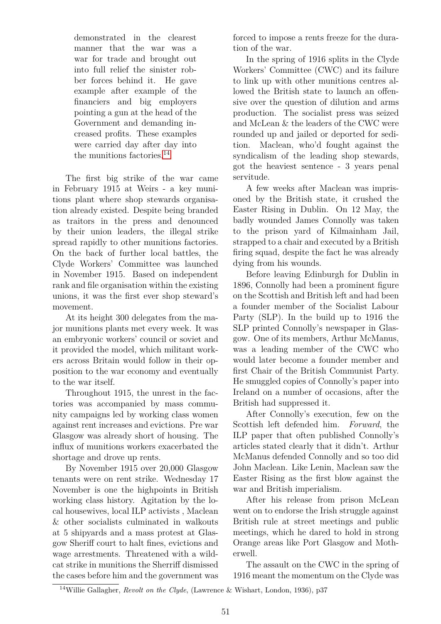demonstrated in the clearest manner that the war was a war for trade and brought out into full relief the sinister robber forces behind it. He gave example after example of the financiers and big employers pointing a gun at the head of the Government and demanding increased profits. These examples were carried day after day into the munitions factories.[14](#page-8-0)

The first big strike of the war came in February 1915 at Weirs - a key munitions plant where shop stewards organisation already existed. Despite being branded as traitors in the press and denounced by their union leaders, the illegal strike spread rapidly to other munitions factories. On the back of further local battles, the Clyde Workers' Committee was launched in November 1915. Based on independent rank and file organisation within the existing unions, it was the first ever shop steward's movement.

At its height 300 delegates from the major munitions plants met every week. It was an embryonic workers' council or soviet and it provided the model, which militant workers across Britain would follow in their opposition to the war economy and eventually to the war itself.

Throughout 1915, the unrest in the factories was accompanied by mass community campaigns led by working class women against rent increases and evictions. Pre war Glasgow was already short of housing. The influx of munitions workers exacerbated the shortage and drove up rents.

By November 1915 over 20,000 Glasgow tenants were on rent strike. Wednesday 17 November is one the highpoints in British working class history. Agitation by the local housewives, local ILP activists , Maclean & other socialists culminated in walkouts at 5 shipyards and a mass protest at Glasgow Sheriff court to halt fines, evictions and wage arrestments. Threatened with a wildcat strike in munitions the Sherriff dismissed the cases before him and the government was forced to impose a rents freeze for the duration of the war.

In the spring of 1916 splits in the Clyde Workers' Committee (CWC) and its failure to link up with other munitions centres allowed the British state to launch an offensive over the question of dilution and arms production. The socialist press was seized and McLean & the leaders of the CWC were rounded up and jailed or deported for sedition. Maclean, who'd fought against the syndicalism of the leading shop stewards, got the heaviest sentence - 3 years penal servitude.

A few weeks after Maclean was imprisoned by the British state, it crushed the Easter Rising in Dublin. On 12 May, the badly wounded James Connolly was taken to the prison yard of Kilmainham Jail, strapped to a chair and executed by a British firing squad, despite the fact he was already dying from his wounds.

Before leaving Edinburgh for Dublin in 1896, Connolly had been a prominent figure on the Scottish and British left and had been a founder member of the Socialist Labour Party (SLP). In the build up to 1916 the SLP printed Connolly's newspaper in Glasgow. One of its members, Arthur McManus, was a leading member of the CWC who would later become a founder member and first Chair of the British Communist Party. He smuggled copies of Connolly's paper into Ireland on a number of occasions, after the British had suppressed it.

After Connolly's execution, few on the Scottish left defended him. *Forward*, the ILP paper that often published Connolly's articles stated clearly that it didn't. Arthur McManus defended Connolly and so too did John Maclean. Like Lenin, Maclean saw the Easter Rising as the first blow against the war and British imperialism.

After his release from prison McLean went on to endorse the Irish struggle against British rule at street meetings and public meetings, which he dared to hold in strong Orange areas like Port Glasgow and Motherwell.

The assault on the CWC in the spring of 1916 meant the momentum on the Clyde was

<span id="page-8-0"></span><sup>14</sup>Willie Gallagher, *Revolt on the Clyde*, (Lawrence & Wishart, London, 1936), p37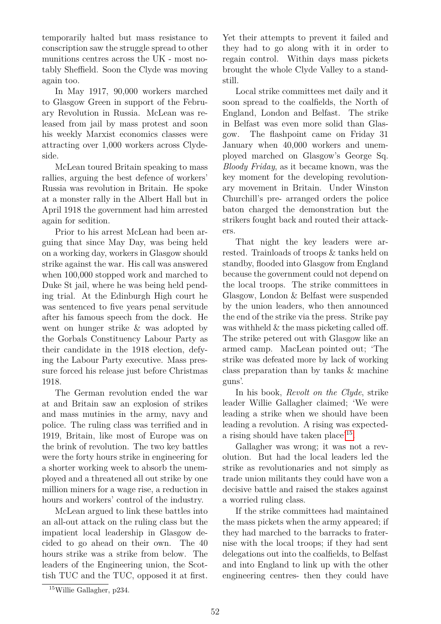temporarily halted but mass resistance to conscription saw the struggle spread to other munitions centres across the UK - most notably Sheffield. Soon the Clyde was moving again too.

In May 1917, 90,000 workers marched to Glasgow Green in support of the February Revolution in Russia. McLean was released from jail by mass protest and soon his weekly Marxist economics classes were attracting over 1,000 workers across Clydeside.

McLean toured Britain speaking to mass rallies, arguing the best defence of workers' Russia was revolution in Britain. He spoke at a monster rally in the Albert Hall but in April 1918 the government had him arrested again for sedition.

Prior to his arrest McLean had been arguing that since May Day, was being held on a working day, workers in Glasgow should strike against the war. His call was answered when 100,000 stopped work and marched to Duke St jail, where he was being held pending trial. At the Edinburgh High court he was sentenced to five years penal servitude after his famous speech from the dock. He went on hunger strike & was adopted by the Gorbals Constituency Labour Party as their candidate in the 1918 election, defying the Labour Party executive. Mass pressure forced his release just before Christmas 1918.

The German revolution ended the war at and Britain saw an explosion of strikes and mass mutinies in the army, navy and police. The ruling class was terrified and in 1919, Britain, like most of Europe was on the brink of revolution. The two key battles were the forty hours strike in engineering for a shorter working week to absorb the unemployed and a threatened all out strike by one million miners for a wage rise, a reduction in hours and workers' control of the industry.

McLean argued to link these battles into an all-out attack on the ruling class but the impatient local leadership in Glasgow decided to go ahead on their own. The 40 hours strike was a strike from below. The leaders of the Engineering union, the Scottish TUC and the TUC, opposed it at first.

Yet their attempts to prevent it failed and they had to go along with it in order to regain control. Within days mass pickets brought the whole Clyde Valley to a standstill.

Local strike committees met daily and it soon spread to the coalfields, the North of England, London and Belfast. The strike in Belfast was even more solid than Glasgow. The flashpoint came on Friday 31 January when 40,000 workers and unemployed marched on Glasgow's George Sq. *Bloody Friday*, as it became known, was the key moment for the developing revolutionary movement in Britain. Under Winston Churchill's pre- arranged orders the police baton charged the demonstration but the strikers fought back and routed their attackers.

That night the key leaders were arrested. Trainloads of troops & tanks held on standby, flooded into Glasgow from England because the government could not depend on the local troops. The strike committees in Glasgow, London & Belfast were suspended by the union leaders, who then announced the end of the strike via the press. Strike pay was withheld  $&$  the mass picketing called off. The strike petered out with Glasgow like an armed camp. MacLean pointed out; 'The strike was defeated more by lack of working class preparation than by tanks & machine guns'.

In his book, *Revolt on the Clyde*, strike leader Willie Gallagher claimed; 'We were leading a strike when we should have been leading a revolution. A rising was expecteda rising should have taken place'[15](#page-9-0) .

Gallagher was wrong; it was not a revolution. But had the local leaders led the strike as revolutionaries and not simply as trade union militants they could have won a decisive battle and raised the stakes against a worried ruling class.

If the strike committees had maintained the mass pickets when the army appeared; if they had marched to the barracks to fraternise with the local troops; if they had sent delegations out into the coalfields, to Belfast and into England to link up with the other engineering centres- then they could have

<span id="page-9-0"></span><sup>15</sup>Willie Gallagher, p234.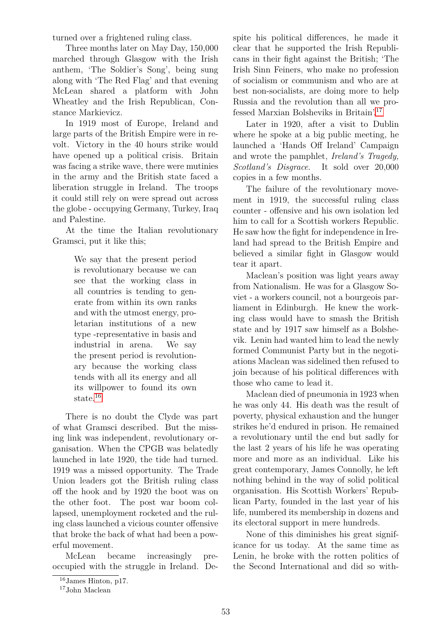turned over a frightened ruling class.

Three months later on May Day, 150,000 marched through Glasgow with the Irish anthem, 'The Soldier's Song', being sung along with 'The Red Flag' and that evening McLean shared a platform with John Wheatley and the Irish Republican, Constance Markievicz.

In 1919 most of Europe, Ireland and large parts of the British Empire were in revolt. Victory in the 40 hours strike would have opened up a political crisis. Britain was facing a strike wave, there were mutinies in the army and the British state faced a liberation struggle in Ireland. The troops it could still rely on were spread out across the globe - occupying Germany, Turkey, Iraq and Palestine.

At the time the Italian revolutionary Gramsci, put it like this;

> We say that the present period is revolutionary because we can see that the working class in all countries is tending to generate from within its own ranks and with the utmost energy, proletarian institutions of a new type -representative in basis and industrial in arena. We say the present period is revolutionary because the working class tends with all its energy and all its willpower to found its own state.[16](#page-10-0)

There is no doubt the Clyde was part of what Gramsci described. But the missing link was independent, revolutionary organisation. When the CPGB was belatedly launched in late 1920, the tide had turned. 1919 was a missed opportunity. The Trade Union leaders got the British ruling class off the hook and by 1920 the boot was on the other foot. The post war boom collapsed, unemployment rocketed and the ruling class launched a vicious counter offensive that broke the back of what had been a powerful movement.

McLean became increasingly preoccupied with the struggle in Ireland. Despite his political differences, he made it clear that he supported the Irish Republicans in their fight against the British; 'The Irish Sinn Feiners, who make no profession of socialism or communism and who are at best non-socialists, are doing more to help Russia and the revolution than all we professed Marxian Bolsheviks in Britain'.[17](#page-10-1)

Later in 1920, after a visit to Dublin where he spoke at a big public meeting, he launched a 'Hands Off Ireland' Campaign and wrote the pamphlet, *Ireland's Tragedy, Scotland's Disgrace*. It sold over 20,000 copies in a few months.

The failure of the revolutionary movement in 1919, the successful ruling class counter - offensive and his own isolation led him to call for a Scottish workers Republic. He saw how the fight for independence in Ireland had spread to the British Empire and believed a similar fight in Glasgow would tear it apart.

Maclean's position was light years away from Nationalism. He was for a Glasgow Soviet - a workers council, not a bourgeois parliament in Edinburgh. He knew the working class would have to smash the British state and by 1917 saw himself as a Bolshevik. Lenin had wanted him to lead the newly formed Communist Party but in the negotiations Maclean was sidelined then refused to join because of his political differences with those who came to lead it.

Maclean died of pneumonia in 1923 when he was only 44. His death was the result of poverty, physical exhaustion and the hunger strikes he'd endured in prison. He remained a revolutionary until the end but sadly for the last 2 years of his life he was operating more and more as an individual. Like his great contemporary, James Connolly, he left nothing behind in the way of solid political organisation. His Scottish Workers' Republican Party, founded in the last year of his life, numbered its membership in dozens and its electoral support in mere hundreds.

None of this diminishes his great significance for us today. At the same time as Lenin, he broke with the rotten politics of the Second International and did so with-

<span id="page-10-0"></span><sup>16</sup>James Hinton, p17.

<span id="page-10-1"></span><sup>17</sup>John Maclean